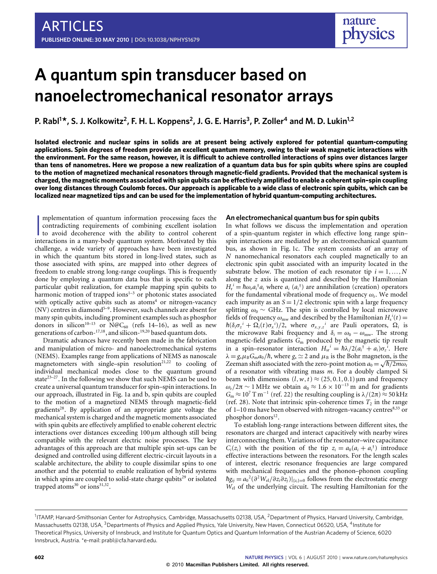# **A quantum spin transducer based on nanoelectromechanical resonator arrays**

**P. Rabl<sup>1</sup> \*, S. J. Kolkowitz<sup>2</sup> , F. H. L. Koppens<sup>2</sup> , J. G. E. Harris<sup>3</sup> , P. Zoller<sup>4</sup> and M. D. Lukin1,2**

**Isolated electronic and nuclear spins in solids are at present being actively explored for potential quantum-computing applications. Spin degrees of freedom provide an excellent quantum memory, owing to their weak magnetic interactions with the environment. For the same reason, however, it is difficult to achieve controlled interactions of spins over distances larger than tens of nanometres. Here we propose a new realization of a quantum data bus for spin qubits where spins are coupled to the motion of magnetized mechanical resonators through magnetic-field gradients. Provided that the mechanical system is charged, the magnetic moments associated with spin qubits can be effectively amplified to enable a coherent spin–spin coupling over long distances through Coulomb forces. Our approach is applicable to a wide class of electronic spin qubits, which can be localized near magnetized tips and can be used for the implementation of hybrid quantum-computing architectures.**

Implementation of quantum information processing faces the contradicting requirements of combining excellent isolation to avoid decoherence with the ability to control coherent interactions in a many-body quantum system. M mplementation of quantum information processing faces the contradicting requirements of combining excellent isolation to avoid decoherence with the ability to control coherent challenge, a wide variety of approaches have been investigated in which the quantum bits stored in long-lived states, such as those associated with spins, are mapped into other degrees of freedom to enable strong long-range couplings. This is frequently done by employing a quantum data bus that is specific to each particular qubit realization, for example mapping spin qubits to harmonic motion of trapped ions $1-3$  $1-3$  or photonic states associated with optically active qubits such as atoms<sup>[4](#page-6-2)</sup> or nitrogen-vacancy (NV) centres in diamond<sup>[5](#page-6-3)-9</sup>. However, such channels are absent for many spin qubits, including prominent examples such as phosphor donors in silicon<sup>[10](#page-6-5)[–13](#page-6-6)</sup> or  $\widehat{N} @C_{60}$  (refs [14–](#page-6-7)[16\)](#page-6-8), as well as new generations of carbon- $^{17,18}$  $^{17,18}$  $^{17,18}$  $^{17,18}$ , and silicon- $^{19,20}$  $^{19,20}$  $^{19,20}$  $^{19,20}$  based quantum dots.

Dramatic advances have recently been made in the fabrication and manipulation of micro- and nanoelectromechanical systems (NEMS). Examples range from applications of NEMS as nanoscale magnetometers with single–spin resolution<sup>[21](#page-6-13)[,22](#page-6-14)</sup> to cooling of individual mechanical modes close to the quantum ground state $2^{3-27}$ . In the following we show that such NEMS can be used to create a universal quantum transducer for spin–spin interactions. In our approach, illustrated in [Fig. 1a](#page-1-0) and b, spin qubits are coupled to the motion of a magnetized NEMS through magnetic-field gradients<sup>[28](#page-6-17)</sup>. By application of an appropriate gate voltage the mechanical system is charged and the magnetic moments associated with spin qubits are effectively amplified to enable coherent electric interactions over distances exceeding 100 µm although still being compatible with the relevant electric noise processes. The key advantages of this approach are that multiple spin set-ups can be designed and controlled using different electric-circuit layouts in a scalable architecture, the ability to couple dissimilar spins to one another and the potential to enable realization of hybrid systems in which spins are coupled to solid-state charge qubits<sup>[29](#page-6-18)</sup> or isolated trapped atoms $^{30}$  $^{30}$  $^{30}$  or ions $^{31,32}$  $^{31,32}$  $^{31,32}$  $^{31,32}$ .

## **An electromechanical quantum bus for spin qubits**

In what follows we discuss the implementation and operation of a spin-quantum register in which effective long range spin– spin interactions are mediated by an electromechanical quantum bus, as shown in [Fig. 1c](#page-1-0). The system consists of an array of *N* nanomechanical resonators each coupled magnetically to an electronic spin qubit associated with an impurity located in the substrate below. The motion of each resonator tip  $i = 1, ..., N$ along the *z* axis is quantized and described by the Hamiltonian  $H_r^i = \hbar \omega_r a_i^{\dagger} a_i$  where  $a_i (a_i^{\dagger})$  are annihilation (creation) operators for the fundamental vibrational mode of frequency  $\omega_{r}$ . We model each impurity as an  $S = 1/2$  electronic spin with a large frequency splitting  $\omega_0$  ∼ GHz. The spin is controlled by local microwave fields of frequency  $\omega_{\text{mw}}$  and described by the Hamiltonian  $H_s^i(t)$  =  $\hbar(\delta_i \sigma_z^i + \Omega_i(t) \sigma_x^i)/2$ , where  $\sigma_{x,y,z}^i$  are Pauli operators,  $\Omega_i$  is the microwave Rabi frequency and  $\delta_i = \omega_0 - \omega_{\text{mw}}$ . The strong magnetic-field gradients *G*<sup>m</sup> produced by the magnetic tip result in a spin–resonator interaction  $H_{\rm sr}^{i} = \hbar \lambda / 2(a_i^{\dagger} + a_i) \sigma_z^{i}$ . Here  $\lambda = g_s \mu_B G_m a_0 / \hbar$ , where  $g_s \simeq 2$  and  $\mu_B$  is the Bohr magneton, is the Zeeman shift associated with the zero-point motion  $a_0 = \sqrt{\hbar/2m\omega_r}$ of a resonator with vibrating mass *m*. For a doubly clamped Si beam with dimensions  $(l, w, t) \approx (25, 0.1, 0.1)$  µm and frequency  $\omega_r/2\pi \sim 1$  MHz we obtain  $a_0 \approx 1.6 \times 10^{-13}$  m and for gradients  $G_m \approx 10^7$  T m<sup>-1</sup> (ref. [22\)](#page-6-14) the resulting coupling is  $\lambda/(2\pi) \approx 50$  kHz (ref. [28\)](#page-6-17). Note that intrinsic spin-coherence times  $T_2$  in the range of  $1-10$  ms have been observed with nitrogen-vacancy centres<sup>[8](#page-6-22)[,33](#page-6-23)</sup> or phosphor donors<sup>[12](#page-6-24)</sup>.

To establish long-range interactions between different sites, the resonators are charged and interact capacitively with nearby wires interconnecting them. Variations of the resonator–wire capacitance  $C_i(z_i)$  with the position of the tip  $z_i = a_0(a_i + a_i^{\dagger})$  introduce effective interactions between the resonators. For the length scales of interest, electric resonance frequencies are large compared with mechanical frequencies and the phonon–phonon coupling *hg*<sub>*ij*</sub> =  $a_0^2$ ( $\partial^2 W_{el}/\partial z_i \partial z_j$ )|<sub>{*zi*</sub>}=0 follows from the electrostatic energy *W*el of the underlying circuit. The resulting Hamiltonian for the

<sup>&</sup>lt;sup>1</sup>ITAMP, Harvard-Smithsonian Center for Astrophysics, Cambridge, Massachusetts 02138, USA, <sup>2</sup>Department of Physics, Harvard University, Cambridge, Massachusetts 02138, USA, <sup>3</sup>Departments of Physics and Applied Physics, Yale University, New Haven, Connecticut 06520, USA, <sup>4</sup>Institute for Theoretical Physics, University of Innsbruck, and Institute for Quantum Optics and Quantum Information of the Austrian Academy of Science, 6020 Innsbruck, Austria. \*e-mail[: prabl@cfa.harvard.edu.](mailto:prabl@cfa.harvard.edu)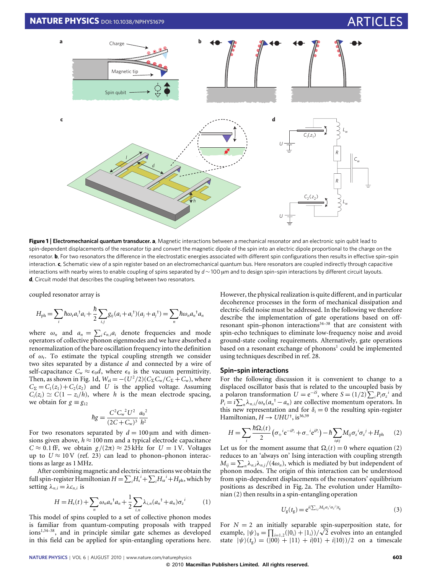

<span id="page-1-0"></span>**Figure 1** | Electromechanical quantum transducer. a, Magnetic interactions between a mechanical resonator and an electronic spin qubit lead to spin-dependent displacements of the resonator tip and convert the magnetic dipole of the spin into an electric dipole proportional to the charge on the resonator. **b**, For two resonators the difference in the electrostatic energies associated with different spin configurations then results in effective spin-spin interaction. **c**, Schematic view of a spin register based on an electromechanical quantum bus. Here resonators are coupled indirectly through capacitive interactions with nearby wires to enable coupling of spins separated by *d* ∼ 100 µm and to design spin–spin interactions by different circuit layouts. **d**, Circuit model that describes the coupling between two resonators.

coupled resonator array is

$$
H_{\rm ph} = \sum_{i} \hbar \omega_{\rm r} a_{i}^{\dagger} a_{i} + \frac{\hbar}{2} \sum_{i,j} g_{ij} (a_{i} + a_{i}^{\dagger}) (a_{j} + a_{j}^{\dagger}) = \sum_{n} \hbar \omega_{n} a_{n}^{\dagger} a_{n}
$$

where  $\omega_n$  and  $a_n = \sum_i c_{n,i} a_i$  denote frequencies and mode operators of collective phonon eigenmodes and we have absorbed a renormalization of the bare oscillation frequency into the definition of  $\omega_r$ . To estimate the typical coupling strength we consider two sites separated by a distance *d* and connected by a wire of self-capacitance  $C_w \approx \epsilon_0 d$ , where  $\epsilon_0$  is the vacuum permittivity. Then, as shown in [Fig. 1d](#page-1-0),  $W_{el} = -(U^2/2)(C_{\Sigma}C_{w}/C_{\Sigma} + C_{w})$ , where  $C_{\Sigma} = C_1(z_1) + C_2(z_2)$  and *U* is the applied voltage. Assuming  $C_i(z_i) \simeq C(1 - z_i/h)$ , where *h* is the mean electrode spacing, we obtain for  $g \equiv g_{12}$ 

$$
\hbar g = \frac{C^2 C_w^2 U^2}{(2C + C_w)^3} \frac{a_0^2}{h^2}
$$

For two resonators separated by  $d = 100 \,\mu m$  and with dimensions given above,  $h \approx 100$  nm and a typical electrode capacitance  $C \approx 0.1$  fF, we obtain  $g/(2\pi) \approx 25$  kHz for  $U = 1$  V. Voltages up to  $U \approx 10 \text{ V}$  (ref. [23\)](#page-6-15) can lead to phonon–phonon interactions as large as 1 MHz.

After combining magnetic and electric interactions we obtain the full spin-register Hamiltonian  $H = \sum_i H_s^i + \sum_i H_{sr}^i + H_{ph}$ , which by setting  $\lambda_{n,i} = \lambda c_{n,i}$  is

<span id="page-1-3"></span>
$$
H = Hs(t) + \sum_{n} \omega_n a_n^{\dagger} a_n + \frac{1}{2} \sum_{i,n} \lambda_{i,n} (a_n^{\dagger} + a_n) \sigma_z^{i}
$$
 (1)

This model of spins coupled to a set of collective phonon modes is familiar from quantum-computing proposals with trapped ions[1,](#page-6-0)[34–](#page-6-25)[38](#page-6-26), and in principle similar gate schemes as developed in this field can be applied for spin-entangling operations here. However, the physical realization is quite different, and in particular decoherence processes in the form of mechanical dissipation and electric-field noise must be addressed. In the following we therefore describe the implementation of gate operations based on offresonant spin–phonon interactions $34-38$  $34-38$  that are consistent with spin-echo techniques to eliminate low-frequency noise and avoid ground-state cooling requirements. Alternatively, gate operations based on a resonant exchange of phonons<sup>[1](#page-6-0)</sup> could be implemented using techniques described in ref. [28.](#page-6-17)

# **Spin–spin interactions**

For the following discussion it is convenient to change to a displaced oscillator basis that is related to the uncoupled basis by a polaron transformation  $U = e^{-iS}$ , where  $S = (1/2)\sum_i P_i \sigma_z^i$  and  $P_i = i \sum_n \lambda_{n,i} / \omega_n (a_n^{\dagger} - a_n)$  are collective momentum operators. In this new representation and for  $\delta_i = 0$  the resulting spin-register Hamiltonian,  $H \to UHU^{\dagger}$ , is<sup>[36](#page-6-27)[,39](#page-6-28)</sup>

<span id="page-1-1"></span>
$$
H = \sum_{i} \frac{\hbar \Omega_i(t)}{2} \left( \sigma_+{}^i e^{-iP_i} + \sigma_-{}^i e^{iP_i} \right) - \hbar \sum_{i \neq j} M_{ij} \sigma_z{}^i \sigma_z{}^j + H_{\text{ph}} \tag{2}
$$

Let us for the moment assume that  $\Omega_i(t) = 0$  where equation [\(2\)](#page-1-1) reduces to an 'always on' Ising interaction with coupling strength  $M_{ij} = \sum_{n} \lambda_{n,i} \lambda_{n,j} / (4\omega_n)$ , which is mediated by but independent of phonon modes. The origin of this interaction can be understood from spin-dependent displacements of the resonators' equilibrium positions as described in [Fig. 2a](#page-2-0). The evolution under Hamiltonian [\(2\)](#page-1-1) then results in a spin-entangling operation

<span id="page-1-2"></span>
$$
U_{\rm g}(t_{\rm g}) = e^{i(\sum_{i,j} M_{ij}\sigma_z^{-i}\sigma_z^{-j})t_{\rm g}}
$$
\n(3)

For  $N = 2$  an initially separable spin-superposition state, for example,  $|\psi\rangle_0 = \prod_{i=1,2} (|0_i\rangle + |1_i\rangle)/\sqrt{2}$  evolves into an entangled state  $|\psi\rangle(t_g) = (|00\rangle + |11\rangle + i|01\rangle + i|10\rangle)/2$  on a timescale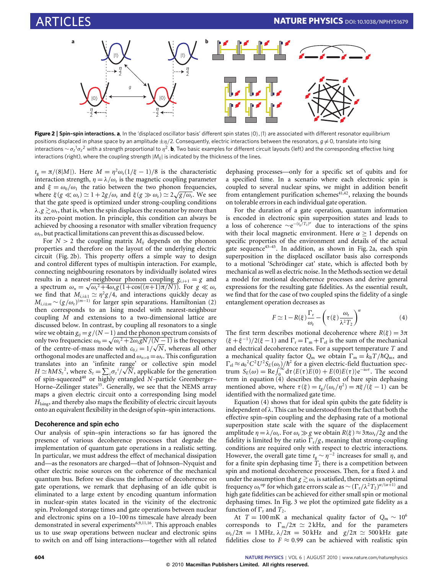

<span id="page-2-0"></span>Figure 2 | Spin-spin interactions. a, In the 'displaced oscillator basis' different spin states  $|0\rangle$ , |1) are associated with different resonator equilibrium positions displaced in phase space by an amplitude  $\pm \eta/2$ . Consequently, electric interactions between the resonators,  $q \neq 0$ , translate into Ising interactions ∼ σ<sub>z</sub><sup>1</sup>σ<sub>z</sub><sup>2</sup> with a strength proportional to η<sup>2</sup>. **b**, Two basic examples for different circuit layouts (left) and the corresponding effective Ising interactions (right), where the coupling strength  $|M_{ii}|$  is indicated by the thickness of the lines.

 $t_g = \pi/(8|M|)$ . Here  $M = \eta^2 \omega_r (1/\xi - 1)/8$  is the characteristic interaction strength,  $\eta = \lambda/\omega_r$  is the magnetic coupling parameter and  $\xi = \omega_0/\omega_1$  the ratio between the two phonon frequencies, where  $\xi(g \ll \omega_r) \simeq 1 + 2g/\omega_r$  and  $\xi(g \gg \omega_r) \simeq 2\sqrt{g/\omega_r}$ . We see that the gate speed is optimized under strong-coupling conditions  $\lambda, g \gtrsim \omega_{\rm r}$ , that is, when the spin displaces the resonator by more than its zero-point motion. In principle, this condition can always be achieved by choosing a resonator with smaller vibration frequency  $\omega_{\rm r}$ , but practical limitations can prevent this as discussed below.

For  $N > 2$  the coupling matrix  $M_{ii}$  depends on the phonon properties and therefore on the layout of the underlying electric circuit [\(Fig. 2b](#page-2-0)). This property offers a simple way to design and control different types of multispin interaction. For example, connecting neighbouring resonators by individually isolated wires results in a nearest-neighbour phonon coupling  $g_{i,i+1} = g$  and a spectrum  $\omega_n = \sqrt{\omega_r^2 + 4\omega_r g (1 + \cos((n+1)\pi/N))}$ . For  $g \ll \omega_r$ we find that  $M_{i,i\pm 1} \simeq \eta^2 g/4$ , and interactions quickly decay as  $M_{i,i±m}$  ∼ ( $g/\omega_r$ )<sup>(*m*−1)</sup> for larger spin separations. Hamiltonian [\(2\)](#page-1-1) then corresponds to an Ising model with nearest-neighbour coupling *M* and extensions to a two-dimensional lattice are discussed below. In contrast, by coupling all resonators to a single wire we obtain  $g_{ij} = g/(N-1)$  and the phonon spectrum consists of only two frequencies:  $\omega_0 = \sqrt{\omega_r^2 + 2\omega_r g N / (N-1)}$  is the frequency of the centre-of-mass mode with  $c_{0,i} = 1/\sqrt{N}$ , whereas all other orthogonal modes are unaffected and  $\omega_{n>0} = \omega_r$ . This configuration translates into an 'infinite range' or collective spin model  $H \simeq \hbar M S_z^2$ , where  $S_z = \sum_i \sigma_z^i /$ √ *N*, applicable for the generation of spin-squeezed[40](#page-6-29) or highly entangled *N*-particle Greenberger– Horne–Zeilinger states<sup>[35](#page-6-30)</sup>. Generally, we see that the NEMS array maps a given electric circuit onto a corresponding Ising model *H*<sub>Ising</sub>, and thereby also maps the flexibility of electric circuit layouts onto an equivalent flexibility in the design of spin–spin interactions.

# **Decoherence and spin echo**

Our analysis of spin–spin interactions so far has ignored the presence of various decoherence processes that degrade the implementation of quantum gate operations in a realistic setting. In particular, we must address the effect of mechanical dissipation and—as the resonators are charged—that of Johnson–Nyquist and other electric noise sources on the coherence of the mechanical quantum bus. Before we discuss the influence of decoherence on gate operations, we remark that dephasing of an idle qubit is eliminated to a large extent by encoding quantum information in nuclear-spin states located in the vicinity of the electronic spin. Prolonged storage times and gate operations between nuclear and electronic spins on a 10–100 ns timescale have already been demonstrated in several experiments<sup>[6,](#page-6-31)[9](#page-6-4)[,11,](#page-6-32)[16](#page-6-8)</sup>. This approach enables us to use swap operations between nuclear and electronic spins to switch on and off Ising interactions—together with all related

dephasing processes—only for a specific set of qubits and for a specified time. In a scenario where each electronic spin is coupled to several nuclear spins, we might in addition benefit from entanglement purification schemes $41,42$  $41,42$ , relaxing the bounds on tolerable errors in each individual gate operation.

For the duration of a gate operation, quantum information is encoded in electronic spin superposition states and leads to a loss of coherence  $\sim e^{-(t_g/T_2)^{\alpha}}$  due to interactions of the spins with their local magnetic environment. Here  $\alpha > 1$  depends on specific properties of the environment and details of the actual gate sequence<sup>[43–](#page-6-35)[45](#page-6-36)</sup>. In addition, as shown in [Fig. 2a](#page-2-0), each spin superposition in the displaced oscillator basis also corresponds to a motional 'Schrödinger cat' state, which is affected both by mechanical as well as electric noise. In the Methods section we detail a model for motional decoherence processes and derive general expressions for the resulting gate fidelities. As the essential result, we find that for the case of two coupled spins the fidelity of a single entanglement operation decreases as

<span id="page-2-1"></span>
$$
F \simeq 1 - R(\xi) \frac{\Gamma_{\rm r}}{\omega_{\rm r}} - \left(\tau(\xi) \frac{\omega_{\rm r}}{\lambda^2 T_2}\right)^{\alpha} \tag{4}
$$

The first term describes motional decoherence where  $R(\xi) = 3\pi$  $(\xi + \xi^{-1})/2(\xi - 1)$  and  $\Gamma_r = \Gamma_m + \Gamma_{el}$  is the sum of the mechanical and electrical decoherence rates. For a support temperature *T* and a mechanical quality factor  $Q_m$  we obtain  $\Gamma_m = k_B T/\hbar Q_m$ , and  $\Gamma_{\rm el} \approx a_0^2 C^2 U^2 S_E(\omega_r)/\hbar^2$  for a given electric-field fluctuation spectrum  $S_E(\omega) = \text{Re} \int_0^\infty d\tau \langle E(\tau)E(0) + E(0)E(\tau) \rangle e^{-i\omega \tau}$ . The second term in equation [\(4\)](#page-2-1) describes the effect of bare spin dephasing mentioned above, where  $\tau(\xi) = t_g/(\omega_r/\eta^2) = \pi \xi/(\xi - 1)$  can be identified with the normalized gate time.

Equation [\(4\)](#page-2-1) shows that for ideal spin qubits the gate fidelity is independent of  $\lambda$ . This can be understood from the fact that both the effective spin–spin coupling and the dephasing rate of a motional superposition state scale with the square of the displacement amplitude  $\eta = \lambda/\omega_r$ . For  $\omega_r \gg g$  we obtain  $R(\xi) \approx 3\pi \omega_r/2g$  and the fidelity is limited by the ratio  $\Gamma_r/g$ , meaning that strong-coupling conditions are required only with respect to electric interactions. However, the overall gate time  $t_g \sim \eta^{-2}$  increases for small  $\eta$ , and for a finite spin dephasing time  $T_2$  there is a competition between spin and motional decoherence processes. Then, for a fixed λ and under the assumption that  $g \gtrsim \omega_{\rm r}$  is satisfied, there exists an optimal frequency  $\omega_r^{op}$  for which gate errors scale as  $\sim (\Gamma_r/\lambda^2 T_2)^{\alpha/(\alpha+1)}$  and high gate fidelities can be achieved for either small spin or motional dephasing times. In [Fig. 3](#page-3-0) we plot the optimized gate fidelity as a function of  $\Gamma$ <sub>r</sub> and  $T_2$ .

At *T* = 100 mK a mechanical quality factor of  $Q_m \sim 10^6$ corresponds to  $\Gamma_{\rm m}/2\pi \simeq 2 \text{ kHz}$ , and for the parameters  $ω_r/2π = 1$  MHz,  $λ/2π = 50$  kHz and  $g/2π \approx 500$  kHz gate fidelities close to  $F \approx 0.99$  can be achieved with realistic spin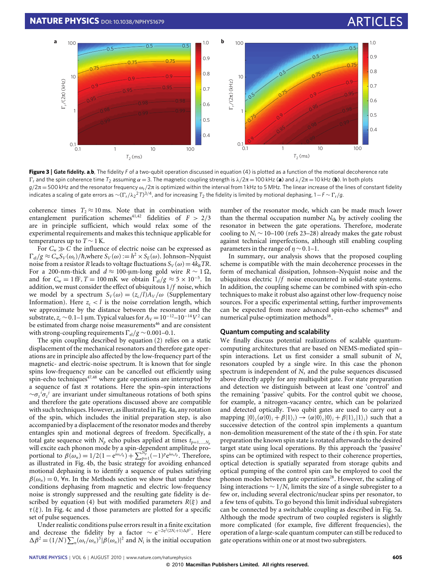

<span id="page-3-0"></span>**Figure 3** | **Gate fidelity. a**,**b**, The fidelity *F* of a two-qubit operation discussed in equation [\(4\)](#page-2-1) is plotted as a function of the motional decoherence rate  $\Gamma_r$  and the spin coherence time *T*<sub>2</sub> assuming α = 3. The magnetic coupling strength is  $λ/2π = 100$  kHz (**a**) and  $λ/2π = 10$  kHz (**b**). In both plots  $g/2\pi = 500$  kHz and the resonator frequency  $\omega_r/2\pi$  is optimized within the interval from 1 kHz to 5 MHz. The linear increase of the lines of constant fidelity indicates a scaling of gate errors as  $\sim$ ( $\Gamma_r/\lambda_2$ 2 $T$ )<sup>3/4</sup>, and for increasing  $T_2$  the fidelity is limited by motional dephasing, 1−*F* ∼  $\Gamma_r/g$ .

coherence times  $T_2 \approx 10$  ms. Note that in combination with entanglement purification schemes<sup>[41,](#page-6-33)[42](#page-6-34)</sup> fidelities of  $F > 2/3$ are in principle sufficient, which would relax some of the experimental requirements and makes this technique applicable for temperatures up to  $T \sim 1$  K.

For  $C_w \gg C$  the influence of electric noise can be expressed as  $\Gamma_{el}/g \approx C_w S_V(\omega_r)/\hbar$ ,where  $S_V(\omega) := h^2 \times S_E(\omega)$ . Johnson–Nyquist noise from a resistor *R* leads to voltage fluctuations  $S_V(\omega) = 4k_BTR$ . For a 200-nm-thick and  $d \approx 100$ -μm-long gold wire  $R \sim 1 Ω$ , and for  $C_w = 1$  fF,  $T = 100$  mK we obtain  $\Gamma_{el}/g \approx 5 \times 10^{-5}$ . In addition, we must consider the effect of ubiquitous 1/*f* noise, which we model by a spectrum  $S_V(\omega) = (z_c/l)A_V/\omega$  (Supplementary Information). Here  $z_c < l$  is the noise correlation length, which we approximate by the distance between the resonator and the substrate,  $z_c \sim 0.1-1$  µm. Typical values for  $A_V = 10^{-12} - 10^{-14} V^2$  can be estimated from charge noise measurements<sup>[46](#page-6-37)</sup> and are consistent with strong-coupling requirements  $\Gamma_{el}/g \sim 0.001-0.1$ .

The spin coupling described by equation [\(2\)](#page-1-1) relies on a static displacement of the mechanical resonators and therefore gate operations are in principle also affected by the low-frequency part of the magnetic- and electric-noise spectrum. It is known that for single spins low-frequency noise can be cancelled out efficiently using spin-echo techniques<sup>[47](#page-6-38)[,48](#page-6-39)</sup> where gate operations are interrupted by a sequence of fast π rotations. Here the spin–spin interactions ∼σ*<sup>z</sup> i*σ*z j* are invariant under simultaneous rotations of both spins and therefore the gate operations discussed above are compatible with such techniques. However, as illustrated in [Fig. 4a](#page-4-0), any rotation of the spin, which includes the initial preparation step, is also accompanied by a displacement of the resonator modes and thereby entangles spin and motional degrees of freedom. Specifically, a total gate sequence with  $N_p$  echo pulses applied at times  $t_{p=1,...,N_p}$ will excite each phonon mode by a spin-dependent amplitude proportional to  $\beta(\omega_n) = 1/2(1 - e^{i\omega_n t_g}) + \sum_{p=1}^{N_p^b} (-1)^p e^{i\omega_n t_p}$ . Therefore, as illustrated in [Fig. 4b](#page-4-0), the basic strategy for avoiding enhanced motional dephasing is to identify a sequence of pulses satisfying  $\beta(\omega_n) = 0$ ,  $\forall n$ . In the Methods section we show that under these conditions dephasing from magnetic and electric low-frequency noise is strongly suppressed and the resulting gate fidelity is de-scribed by equation [\(4\)](#page-2-1) but with modified parameters  $R(\xi)$  and  $\tau(\xi)$ . In [Fig. 4c](#page-4-0) and d those parameters are plotted for a specific set of pulse sequences.

Under realistic conditions pulse errors result in a finite excitation and decrease the fidelity by a factor  $\sim e^{-2\eta^2(2N_i+1)\Delta\beta^2}$ . Here  $\Delta \beta^2 = (1/N) \sum_n (\omega_r/\omega_n)^3 |\beta(\omega_n)|^2$  and  $N_i$  is the initial occupation

number of the resonator mode, which can be made much lower than the thermal occupation number  $N_{th}$  by actively cooling the resonator in between the gate operations. Therefore, moderate cooling to *N*<sub>i</sub>  $\sim$  10–100 (refs [23](#page-6-15)[–28\)](#page-6-17) already makes the gate robust against technical imperfections, although still enabling coupling parameters in the range of  $n \sim 0.1-1$ .

In summary, our analysis shows that the proposed coupling scheme is compatible with the main decoherence processes in the form of mechanical dissipation, Johnson–Nyquist noise and the ubiquitous electric 1/*f* noise encountered in solid-state systems. In addition, the coupling scheme can be combined with spin-echo techniques to make it robust also against other low-frequency noise sources. For a specific experimental setting, further improvements can be expected from more advanced spin-echo schemes<sup>[48](#page-6-39)</sup> and numerical pulse-optimization methods<sup>[38](#page-6-26)</sup>.

## **Quantum computing and scalability**

We finally discuss potential realizations of scalable quantumcomputing architectures that are based on NEMS-mediated spin– spin interactions. Let us first consider a small subunit of  $N_s$ resonators coupled by a single wire. In this case the phonon spectrum is independent of *N*<sup>s</sup> and the pulse sequences discussed above directly apply for any multiqubit gate. For state preparation and detection we distinguish between at least one 'control' and the remaining 'passive' qubits. For the control qubit we choose, for example, a nitrogen-vacancy centre, which can be polarized and detected optically. Two qubit gates are used to carry out a mapping  $|0\rangle_c(\alpha|0\rangle_i + \beta|1\rangle_i) \rightarrow (\alpha|0\rangle_c|0\rangle_i + \beta|1\rangle_c|1\rangle_i)$  such that a successive detection of the control spin implements a quantum non-demolition measurement of the state of the *i* th spin. For state preparation the known spin state is rotated afterwards to the desired target state using local operations. By this approach the 'passive' spins can be optimized with respect to their coherence properties, optical detection is spatially separated from storage qubits and optical pumping of the control spin can be employed to cool the phonon modes between gate operations<sup>[28](#page-6-17)</sup>. However, the scaling of Ising interactions  $∼ 1/N_s$  limits the size of a single subregister to a few or, including several electronic/nuclear spins per resonator, to a few tens of qubits. To go beyond this limit individual subregisters can be connected by a switchable coupling as described in [Fig. 5a](#page-4-1). Although the mode spectrum of two coupled registers is slightly more complicated (for example, five different frequencies), the operation of a large-scale quantum computer can still be reduced to gate operations within one or at most two subregisters.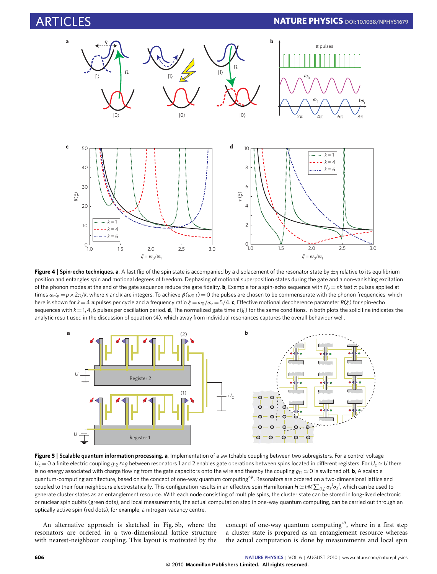

<span id="page-4-0"></span>**Figure 4** | Spin-echo techniques. a, A fast flip of the spin state is accompanied by a displacement of the resonator state by  $\pm \eta$  relative to its equilibrium position and entangles spin and motional degrees of freedom. Dephasing of motional superposition states during the gate and a non-vanishing excitation of the phonon modes at the end of the gate sequence reduce the gate fidelity. **b**, Example for a spin-echo sequence with  $N_p = nk$  fast π pulses applied at times  $\omega_r t_p = p \times 2\pi/k$ , where *n* and *k* are integers. To achieve  $\beta(\omega_{0,1}) = 0$  the pulses are chosen to be commensurate with the phonon frequencies, which here is shown for  $k = 4$  π pulses per cycle and a frequency ratio  $\xi = \omega_0/\omega_r = 5/4$ . **c**, Effective motional decoherence parameter  $R(\xi)$  for spin-echo sequences with  $k = 1, 4, 6$  pulses per oscillation period. **d**, The normalized gate time  $\tau(\xi)$  for the same conditions. In both plots the solid line indicates the analytic result used in the discussion of equation [\(4\),](#page-2-1) which away from individual resonances captures the overall behaviour well.



<span id="page-4-1"></span>**Figure 5** | **Scalable quantum information processing. a**, Implementation of a switchable coupling between two subregisters. For a control voltage  $U_c = 0$  a finite electric coupling  $g_{12} \approx g$  between resonators 1 and 2 enables gate operations between spins located in different registers. For  $U_c \simeq U$  there is no energy associated with charge flowing from the gate capacitors onto the wire and thereby the coupling  $g_{12} \simeq 0$  is switched off. **b**, A scalable quantum-computing architecture, based on the concept of one-way quantum computing<sup>[49](#page-6-40)</sup>. Resonators are ordered on a two-dimensional lattice and  $\epsilon$  coupled to their four neighbours electrostatically. This configuration results in an effective spin Hamiltonian  $H$   $\simeq$  ħM $\sum_{\langle i,j\rangle}\sigma_z{}^j\sigma_z{}^j$ , which can be used to generate cluster states as an entanglement resource. With each node consisting of multiple spins, the cluster state can be stored in long-lived electronic or nuclear spin qubits (green dots), and local measurements, the actual computation step in one-way quantum computing, can be carried out through an optically active spin (red dots), for example, a nitrogen-vacancy centre.

An alternative approach is sketched in [Fig. 5b](#page-4-1), where the resonators are ordered in a two-dimensional lattice structure with nearest-neighbour coupling. This layout is motivated by the concept of one-way quantum computing<sup>[49](#page-6-40)</sup>, where in a first step a cluster state is prepared as an entanglement resource whereas the actual computation is done by measurements and local spin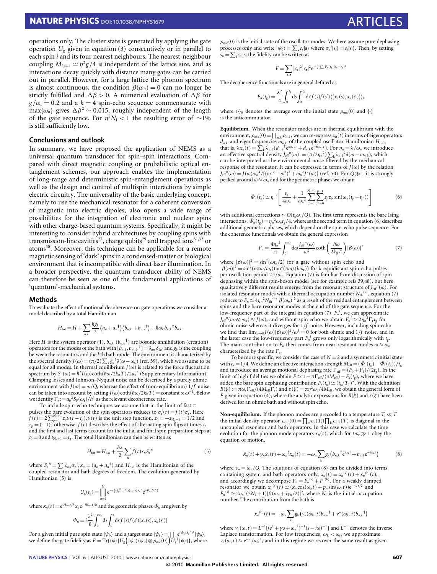operations only. The cluster state is generated by applying the gate operation  $U_g$  given in equation [\(3\)](#page-1-2) consecutively or in parallel to each spin *i* and its four nearest neighbours. The nearest-neighbour coupling  $M_{i,i+1} \simeq \eta^2 g/4$  is independent of the lattice size, and as interactions decay quickly with distance many gates can be carried out in parallel. However, for a large lattice the phonon spectrum is almost continuous, the condition  $\beta(\omega_n) = 0$  can no longer be strictly fulfilled and  $\Delta \beta > 0$ . A numerical evaluation of  $\Delta \beta$  for  $g/\omega_r = 0.2$  and a  $k = 4$  spin-echo sequence commensurate with  $\max{\{\omega_n\}}$  gives  $\Delta \beta^2 \sim 0.015$ , roughly independent of the length of the gate sequence. For  $\eta^2 N_i < 1$  the resulting error of ~1% is still sufficiently low.

# **Conclusions and outlook**

In summary, we have proposed the application of NEMS as a universal quantum transducer for spin–spin interactions. Compared with direct magnetic coupling or probabilistic optical entanglement schemes, our approach enables the implementation of long-range and deterministic spin-entanglement operations as well as the design and control of multispin interactions by simple electric circuitry. The universality of the basic underlying concept, namely to use the mechanical resonator for a coherent conversion of magnetic into electric dipoles, also opens a wide range of possibilities for the integration of electronic and nuclear spins with other charge-based quantum systems. Specifically, it might be interesting to consider hybrid architectures by coupling spins with transmission-line cavities<sup>[27](#page-6-16)</sup>, charge qubits<sup>[29](#page-6-18)</sup> and trapped ions<sup>[31,](#page-6-20)[32](#page-6-21)</sup> or atoms<sup>[30](#page-6-19)</sup>. Moreover, this technique can be applicable for a remote magnetic sensing of 'dark' spins in a condensed-matter or biological environment that is incompatible with direct laser illumination. In a broader perspective, the quantum transducer ability of NEMS can therefore be seen as one of the fundamental applications of 'quantum'-mechanical systems.

#### **Methods**

To evaluate the effect of motional decoherence on gate operations we consider a model described by a total Hamiltonian

$$
H_{\text{tot}} = H + \sum_{n,k} \frac{\hbar g_k}{2} \left( a_n + a_n^{\dagger} \right) \left( b_{n,k} + b_{n,k}^{\dagger} \right) + \hbar \omega_k b_{n,k}^{\dagger} b_{n,k}
$$

Here *H* is the system operator [\(1\)](#page-1-3),  $b_{n,k}$  ( $b_{n,k}$ <sup>†</sup>) are bosonic annihilation (creation) operators for the modes of the bath with  $[b_{n,k}, b_{n',k'}^{\dagger}] = \delta_{nn'} \delta_{kk'}$  and  $g_k$  is the coupling between the resonators and the *k*th bath mode. The environment is characterized by the spectral density *J*(ω) = (π/2)  $\sum_k g_k^2 \delta(\omega - \omega_k)$  (ref. [39\)](#page-6-28), which we assume to be equal for all modes. In thermal equilibrium *J*( $\omega$ ) is related to the force fluctuation equal for all modes. In thermal equilibrium *J*( $\omega$ ) is related to the force fluctuation spectrum by  $S_F(\omega) = h^2 J(\omega) \coth(\hbar \omega/2k_B T)/2a_0^2$  (Supplementary Information). Clamping losses and Johnson–Nyquist noise can be described by a purely ohmic environment with  $J(\omega) = \omega/Q$ , whereas the effect of (non-equilibrium)  $1/f$  noise can be taken into account by setting *J*( $\omega$ )coth( $\hbar\omega/2k_BT$ ) = constant ×  $\omega^{-1}$ . Below we identify  $\Gamma_{\rm r} := a_0^2 S_{\rm F}(\omega_{\rm r})/\hbar^2$  as the relevant decoherence rate.

To include spin-echo techniques we assume that in the limit of fast π pulses the bare evolution of the spin operators reduces to  $\sigma_z^i(t) = f(t)\sigma_z^i$ . Here  $f(t) = 2\sum_{p=0}^{N_p+1} z_p \theta(t - t_p)$ ,  $\theta(t)$  is the unit step function,  $z_0 = -z_{N_p+1} = 1/2$  and  $z_p = (-1)^p$  otherwise.  $f(t)$  describes the effect of alternating spin flips at times  $t_p$ and the first and last terms account for the initial and final spin preparation steps at  $t_0 = 0$  and  $t_{N_p+1} = t_g$ . The total Hamiltonian can then be written as

$$
H_{\text{tot}} = H_{\text{osc}} + \frac{\hbar\lambda}{2} \sum_{n} f(t) x_{n} S_{z}^{n}
$$
 (5)

where  $S_z^{\ n} = \sum_i c_{n,i} \sigma_z^{\ i}$ ,  $x_n = (a_n + a_n^{\dagger})$  and  $H_{\text{osc}}$  is the Hamiltonian of the coupled resonator and bath degrees of freedom. The evolution generated by Hamiltonian [\(5\)](#page-5-0) is

$$
U_{\rm g}(t_{\rm g})=\prod_{n=1}^N {\rm e}^{-i\frac{\lambda}{2}\int_0^{t_{\rm g}}{\rm d}s f(s)x_n(s)S_z} e^{i\Phi_n(S_z^n)^2}
$$

where  $x_n(t) = e^{iH_{\text{osc}}t/\hbar}x_n e^{-iH_{\text{osc}}t/\hbar}$  and the geometric phases  $\Phi_n$  are given by

$$
\Phi_n = i\frac{\lambda^2}{8} \int_0^{t_s} ds \int_0^s ds' f(s) f(s') [x_n(s), x_n(s')]
$$

For a given initial pure spin state  $|\psi_0\rangle$  and a target state  $|\psi_f\rangle = \prod_n e^{i\Phi_n(S_z^n)^2} |\psi_0\rangle$ , we define the gate fidelity as  $F = \text{Tr}\{\langle \psi_f | U_g | \psi_0 \rangle \langle \psi_0 | \otimes \rho_{osc}(0) \rangle U_g^{\dagger} | \psi_f \rangle\}$ , where  $\rho_{\rm osc}(0)$  is the initial state of the oscillator modes. We here assume pure dephasing processes only and write  $|\psi_0\rangle = \sum_s c_s |s\rangle$  where  $\sigma_z^i |s_i\rangle = s_i |s_i\rangle$ . Then, by setting  $s_n = \sum_i c_{n,i} s_i$  the fidelity can be written as

$$
F = \sum_{s,r} |c_s|^2 |c_r|^2 e^{-\frac{1}{4} \sum_n F_n(t_g)(s_n - r_n)^2}
$$

The decoherence functionals are in general defined as

$$
F_n(t_g) = \frac{\lambda^2}{4} \int_0^{t_g} ds \int_0^{t_g} ds' f(s) f(s') \langle \{x_n(s), x_n(s')\} \rangle_0
$$

where  $\langle \cdot \rangle_0$  denotes the average over the initial state  $\rho_{osc}(0)$  and  $\{\cdot\}$ is the anticommutator.

**Equilibrium.** When the resonator modes are in thermal equilibrium with the environment,  $\rho_{osc}(0) = \prod_{n,k} \rho_{n,k}$ , we can re-express  $x_n(t)$  in terms of eigenoperators  $d_{n,k}$  and eigenfrequencies  $\omega_{n,k}$  of the coupled oscillator Hamiltonian  $H_{osc}$ , that is,  $\lambda x_n(t) = \sum_k \lambda_{n,k} (d_{n,k} t^{i\omega_{n,k}t} + d_{n,k} e^{-i\omega_{n,k}t})$ . For  $\eta_n = \lambda/\omega_n$  we introduce an effective spectral density  $J_{\text{eff}}^{n}(\omega) := (\pi/2\eta_n^2) \sum_{k} \lambda_{n,k}^2 \delta(\omega - \omega_{n,k})$ , which can be interpreted as the environmental noise filtered by the mechanical response of the resonator. It can be expressed in terms of  $J(\omega)$  by the relation  $J_{\text{eff}}^{n}(\omega) = J(\omega)\omega_n^4/[(\omega_n^2 - \omega^2)^2 + \omega_n^2J^2(\omega)]$  (ref. [50\)](#page-6-41). For  $Q \gg 1$  it is strongly peaked around  $\omega \approx \omega_n$  and for the geometric phases we obtain

<span id="page-5-1"></span>
$$
\Phi_n(t_g) \simeq \eta_n^2 \left[ \frac{t_g}{4\omega_n} + \frac{1}{\omega_n^2} \sum_{p=1}^{N_p+1} \sum_{p'=0}^{p-1} z_p z_{p'} \sin(\omega_n (t_p - t_{p'})) \right]
$$
(6)

with additional corrections ∼ *O*( $t_{\rm g}$ ω<sub>r</sub>/*Q*). The first term represents the bare Ising interactions,  $\Phi_n(t_g) = \eta_n^2 \omega_n t_g/4$ , whereas the second term in equation [\(6\)](#page-5-1) describes additional geometric phases, which depend on the spin-echo pulse sequence. For the coherence functionals we obtain the general expression

<span id="page-5-2"></span>
$$
F_n = \frac{4\eta_n^2}{\pi} \int_0^\infty d\omega \frac{J_{\text{eff}}^n(\omega)}{\omega^2} \coth\left(\frac{\hbar\omega}{2k_B T}\right) |\beta(\omega)|^2 \tag{7}
$$

where  $|\beta(\omega)|^2 = \sin^2(\omega t_g/2)$  for a gate without spin echo and  $|\beta(\omega)|^2 = \sin^2(n\pi\omega/\omega_r)\tan^2(\pi\omega/(k\omega_r))$  for *k* equidistant spin-echo pulses per oscillation period  $2\pi/\omega_r$ . Equation [\(7\)](#page-5-2) is familiar from discussion of spin dephasing within the spin-boson model (see for example refs [39,](#page-6-28)[48\)](#page-6-39), but here qualitatively different results emerge from the resonant structure of  $J_{\rm eff}^{\ \ n}(\omega)$ . For isolated resonator modes with a thermal occupation number  $N_{\text{th}}^{(n)}$ , equation [\(7\)](#page-5-2) reduces to  $F_n \simeq 4\eta_n^2 N_{\text{th}}^{(n)} |\beta(\omega_n)|^2$  as a result of the residual entanglement between spins and the bare resonator modes at the end of the gate sequence. For the low-frequency part of the integral in equation [\(7\)](#page-5-2),  $F_n^l$ , we can approximate  $J_{\text{eff}}^{n}(\omega \ll \omega_n) \approx J(\omega)$ , and without spin echo we obtain  $F_n^{\ l} \simeq 2\eta_n^{\ l} \Gamma_r t_{\text{g}}$  for ohmic noise whereas it diverges for  $1/f$  noise. However, including spin echo we find that  $\lim_{\omega \to 0} J(\omega)|\beta(\omega)|^2/\omega^3 = 0$  for both ohmic and  $1/f$  noise, and in the latter case the low-frequency part  $F_n^l$  grows only logarithmically with  $t_g$ . The main contribution to  $F_n$  then comes from near-resonant modes  $\omega \approx \omega_n$ characterized by the rate  $\Gamma_r$ .

To be more specific, we consider the case of  $N = 2$  and a symmetric initial state with  $c_s = 1/4$ . We define an effective interaction strength  $M_{\text{eff}} = (\Phi_0(t_g) - \Phi_1(t_g))/t_g$ and introduce an average motional dephasing rate  $\Gamma_{\text{eff}} = (F_0 + F_1)/(2t_g)$ . In the limit of high fidelities we obtain  $F \simeq 1 - \pi \Gamma_{\text{eff}}/(4M_{\text{eff}}) - F_s(t_g)$ , where we have added the bare spin dephasing contribution  $F_s(t_g) \simeq (t_g/T_2)^\alpha$ . With the definition  $R(\xi) := \pi \omega_r \Gamma_{\text{eff}} / (4M_{\text{eff}}\Gamma_r)$  and  $\tau(\xi) = \pi \eta^2 \omega_r / 4M_{\text{eff}}$ , we obtain the general form of *F* given in equation [\(4\)](#page-2-1), where the analytic expressions for  $R(\xi)$  and  $\tau(\xi)$  have been derived for an ohmic bath and without spin echo.

**Non-equilibrium.** If the phonon modes are precooled to a temperature  $T_i \ll T$ the initial density operator  $\rho_{osc}(0) = \prod_n \rho_n(T_i) \prod_k \rho_{n,k}(T)$  is diagonal in the uncoupled resonator and bath operators. In this case we calculate the time evolution for the phonon mode operators  $x_n(t)$ , which for  $t\omega_r \gg 1$  obey the equation of motion,

<span id="page-5-3"></span>
$$
\ddot{x}_n(t) + \gamma_n \dot{x}_n(t) + \omega_n^2 x_n(t) = -\omega_n \sum_k g_k \left( b_{n,k}{}^{\dagger} e^{i\omega_k t} + b_{n,k} e^{-i\omega_k t} \right)
$$
(8)

<span id="page-5-0"></span>where  $\gamma_n = \omega_n/Q$ . The solutions of equation [\(8\)](#page-5-3) can be divided into terms containing system and bath operators only,  $x_n(t) = x_n^{(s)}(t) + x_n^{(b)}(t)$ , and accordingly we decompose  $F_n = F_n^{(s)} + F_n^{(b)}$ . For a weakly damped resonator we obtain  $x_n^{(s)}(t) \simeq (x_n \cos(\omega_n t) + p_n \sin(\omega_n t))e^{-\gamma_n t/2}$  and  $F_n^{(s)} \simeq 2\eta_n^2 (2N_i+1)|\beta(\omega_n+i\gamma_n/2)|^2$ , where  $N_i$  is the initial occupation number. The contribution from the bath is

$$
x_n^{(b)}(t) = -\omega_n \sum_{k} g_k \left( v_n(\omega_k, t) b_{n,k} \dagger + v^*(\omega_k, t) b_{n,k} \dagger \right)
$$

where  $v_n(\omega, t) = L^{-1}[(s^2 + \gamma s + \omega_n^2)^{-1}(s - i\omega)^{-1}]$  and  $L^{-1}$  denotes the inverse Laplace transformation. For low frequencies,  $\omega_k < \omega_r$ , we approximate  $v_n(\omega, t) \approx e^{i\omega t}/\omega_n^2$ , and in this regime we recover the same result as given

#### **©** 2010 **Macmillan Publishers Limited. All rights reserved.**